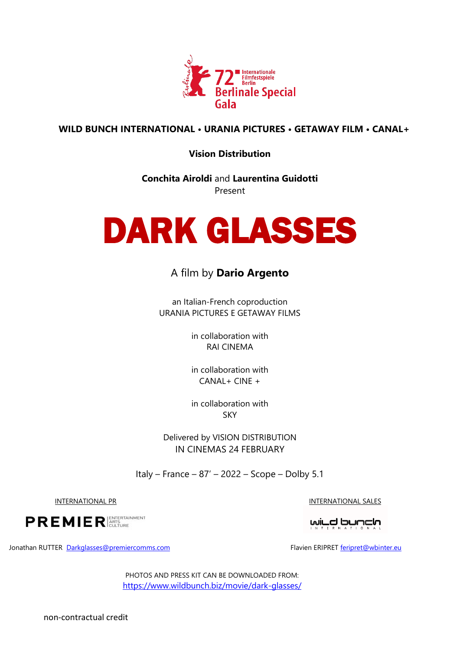

### **WILD BUNCH INTERNATIONAL • URANIA PICTURES • GETAWAY FILM • CANAL+**

**Vision Distribution**

**Conchita Airoldi** and **Laurentina Guidotti**  Present



# A film by **Dario Argento**

an Italian-French coproduction URANIA PICTURES E GETAWAY FILMS

> in collaboration with RAI CINEMA

> in collaboration with CANAL+ CINE +

> in collaboration with SKY

Delivered by VISION DISTRIBUTION IN CINEMAS 24 FEBRUARY

Italy – France – 87' – 2022 – Scope – Dolby 5.1

INTERNATIONAL PR

**PREMIER** ENTERTAINMENT

INTERNATIONAL SALES

المابكو المنسكات

Jonathan RUTTER Darkglasses@premiercomms.com

Flavien ERIPRE[T feripret@wbinter.eu](mailto:feripret@wbinter.eu)

PHOTOS AND PRESS KIT CAN BE DOWNLOADED FROM: <https://www.wildbunch.biz/movie/dark-glasses/>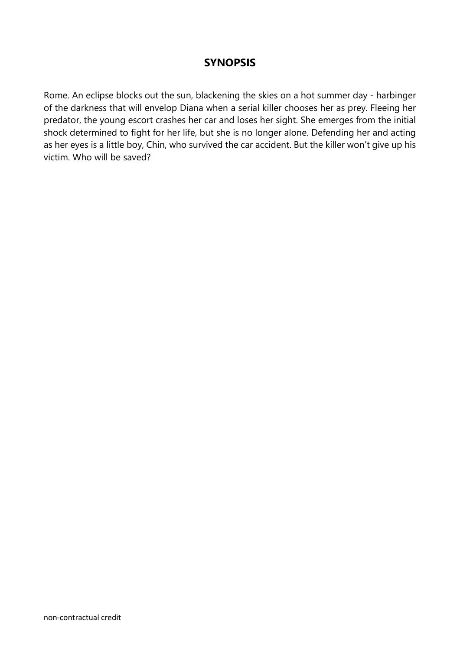## **SYNOPSIS**

Rome. An eclipse blocks out the sun, blackening the skies on a hot summer day - harbinger of the darkness that will envelop Diana when a serial killer chooses her as prey. Fleeing her predator, the young escort crashes her car and loses her sight. She emerges from the initial shock determined to fight for her life, but she is no longer alone. Defending her and acting as her eyes is a little boy, Chin, who survived the car accident. But the killer won't give up his victim. Who will be saved?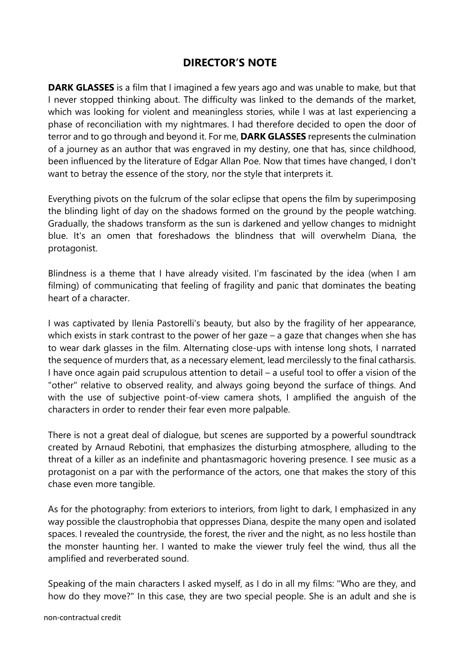## **DIRECTOR'S NOTE**

**DARK GLASSES** is a film that I imagined a few years ago and was unable to make, but that I never stopped thinking about. The difficulty was linked to the demands of the market, which was looking for violent and meaningless stories, while I was at last experiencing a phase of reconciliation with my nightmares. I had therefore decided to open the door of terror and to go through and beyond it. For me, **DARK GLASSES** represents the culmination of a journey as an author that was engraved in my destiny, one that has, since childhood, been influenced by the literature of Edgar Allan Poe. Now that times have changed, I don't want to betray the essence of the story, nor the style that interprets it.

Everything pivots on the fulcrum of the solar eclipse that opens the film by superimposing the blinding light of day on the shadows formed on the ground by the people watching. Gradually, the shadows transform as the sun is darkened and yellow changes to midnight blue. It's an omen that foreshadows the blindness that will overwhelm Diana, the protagonist.

Blindness is a theme that I have already visited. I'm fascinated by the idea (when I am filming) of communicating that feeling of fragility and panic that dominates the beating heart of a character.

I was captivated by Ilenia Pastorelli's beauty, but also by the fragility of her appearance, which exists in stark contrast to the power of her gaze – a gaze that changes when she has to wear dark glasses in the film. Alternating close-ups with intense long shots, I narrated the sequence of murders that, as a necessary element, lead mercilessly to the final catharsis. I have once again paid scrupulous attention to detail – a useful tool to offer a vision of the "other" relative to observed reality, and always going beyond the surface of things. And with the use of subjective point-of-view camera shots, I amplified the anguish of the characters in order to render their fear even more palpable.

There is not a great deal of dialogue, but scenes are supported by a powerful soundtrack created by Arnaud Rebotini, that emphasizes the disturbing atmosphere, alluding to the threat of a killer as an indefinite and phantasmagoric hovering presence. I see music as a protagonist on a par with the performance of the actors, one that makes the story of this chase even more tangible.

As for the photography: from exteriors to interiors, from light to dark, I emphasized in any way possible the claustrophobia that oppresses Diana, despite the many open and isolated spaces. I revealed the countryside, the forest, the river and the night, as no less hostile than the monster haunting her. I wanted to make the viewer truly feel the wind, thus all the amplified and reverberated sound.

Speaking of the main characters I asked myself, as I do in all my films: "Who are they, and how do they move?" In this case, they are two special people. She is an adult and she is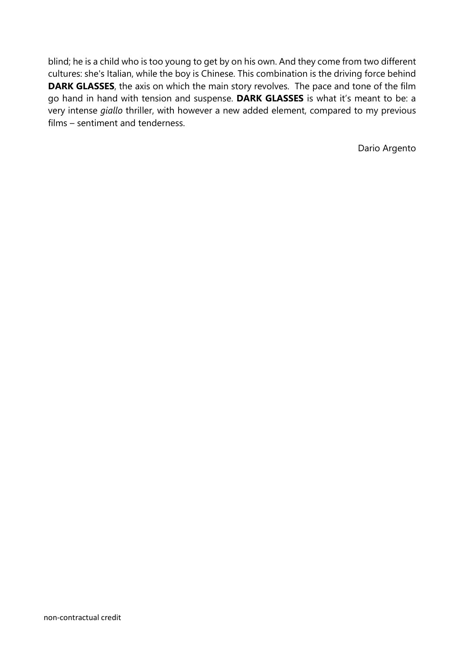blind; he is a child who is too young to get by on his own. And they come from two different cultures: she's Italian, while the boy is Chinese. This combination is the driving force behind **DARK GLASSES**, the axis on which the main story revolves. The pace and tone of the film go hand in hand with tension and suspense. **DARK GLASSES** is what it's meant to be: a very intense *giallo* thriller, with however a new added element, compared to my previous films – sentiment and tenderness.

Dario Argento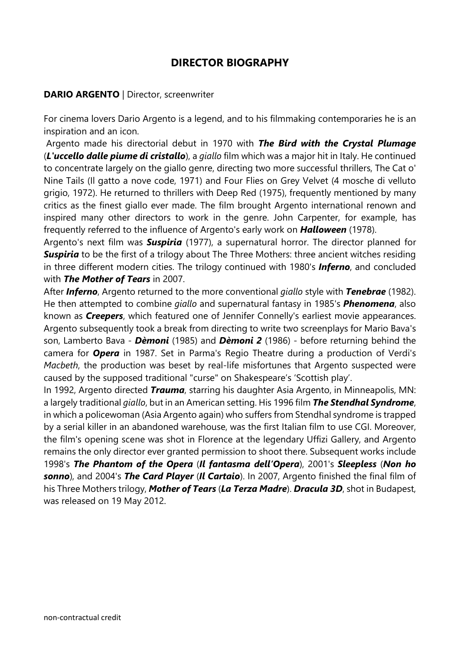## **DIRECTOR BIOGRAPHY**

### **DARIO ARGENTO** | Director, screenwriter

For cinema lovers Dario Argento is a legend, and to his filmmaking contemporaries he is an inspiration and an icon.

Argento made his directorial debut in 1970 with *The Bird with the Crystal Plumage* (*L'uccello dalle piume di cristallo*), a *giallo* film which was a major hit in Italy. He continued to concentrate largely on the giallo genre, directing two more successful thrillers, The Cat o' Nine Tails (Il gatto a nove code, 1971) and Four Flies on Grey Velvet (4 mosche di velluto grigio, 1972). He returned to thrillers with Deep Red (1975), frequently mentioned by many critics as the finest giallo ever made. The film brought Argento international renown and inspired many other directors to work in the genre. John Carpenter, for example, has frequently referred to the influence of Argento's early work on *Halloween* (1978).

Argento's next film was *Suspiria* (1977), a supernatural horror. The director planned for **Suspiria** to be the first of a trilogy about The Three Mothers: three ancient witches residing in three different modern cities. The trilogy continued with 1980's *Inferno*, and concluded with *The Mother of Tears* in 2007.

After *Inferno*, Argento returned to the more conventional *giallo* style with *Tenebrae* (1982). He then attempted to combine *giallo* and supernatural fantasy in 1985's *Phenomena*, also known as *Creepers*, which featured one of Jennifer Connelly's earliest movie appearances. Argento subsequently took a break from directing to write two screenplays for Mario Bava's son, Lamberto Bava - *Dèmoni* (1985) and *Dèmoni 2* (1986) - before returning behind the camera for *Opera* in 1987. Set in Parma's Regio Theatre during a production of Verdi's *Macbeth*, the production was beset by real-life misfortunes that Argento suspected were caused by the supposed traditional "curse" on Shakespeare's 'Scottish play'.

In 1992, Argento directed *Trauma*, starring his daughter Asia Argento, in Minneapolis, MN: a largely traditional *giallo*, but in an American setting. His 1996 film *The Stendhal Syndrome*, in which a policewoman (Asia Argento again) who suffers from Stendhal syndrome is trapped by a serial killer in an abandoned warehouse, was the first Italian film to use CGI. Moreover, the film's opening scene was shot in Florence at the legendary Uffizi Gallery, and Argento remains the only director ever granted permission to shoot there. Subsequent works include 1998's *The Phantom of the Opera* (*Il fantasma dell'Opera*), 2001's *Sleepless* (*Non ho sonno*), and 2004's *The Card Player* (*Il Cartaio*). In 2007, Argento finished the final film of his Three Mothers trilogy, *Mother of Tears* (*La Terza Madre*). *Dracula 3D*, shot in Budapest, was released on 19 May 2012.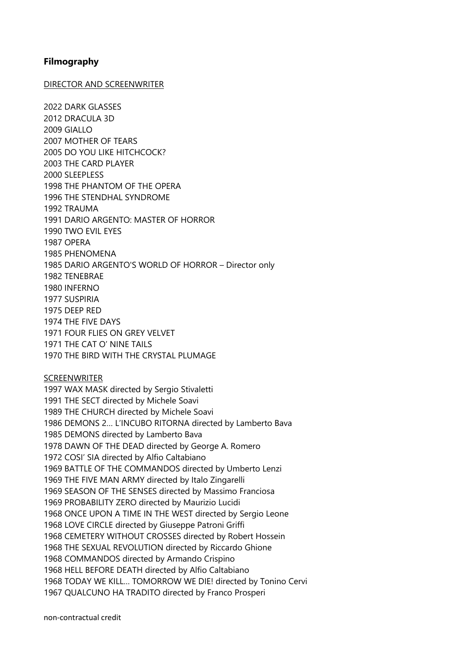### **Filmography**

#### DIRECTOR AND SCREENWRITER

2022 DARK GLASSES 2012 DRACULA 3D 2009 GIALLO 2007 MOTHER OF TEARS 2005 DO YOU LIKE HITCHCOCK? 2003 THE CARD PLAYER 2000 SLEEPLESS 1998 THE PHANTOM OF THE OPERA 1996 THE STENDHAL SYNDROME 1992 TRAUMA 1991 DARIO ARGENTO: MASTER OF HORROR 1990 TWO EVIL EYES 1987 OPERA 1985 PHENOMENA 1985 DARIO ARGENTO'S WORLD OF HORROR – Director only 1982 TENEBRAE 1980 INFERNO 1977 SUSPIRIA 1975 DEEP RED 1974 THE FIVE DAYS 1971 FOUR FLIES ON GREY VELVET 1971 THE CAT O' NINE TAILS 1970 THE BIRD WITH THE CRYSTAL PLUMAGE

#### **SCREENWRITER**

1997 WAX MASK directed by Sergio Stivaletti 1991 THE SECT directed by Michele Soavi 1989 THE CHURCH directed by Michele Soavi 1986 DEMONS 2… L'INCUBO RITORNA directed by Lamberto Bava 1985 DEMONS directed by Lamberto Bava 1978 DAWN OF THE DEAD directed by George A. Romero 1972 COSI' SIA directed by Alfio Caltabiano 1969 BATTLE OF THE COMMANDOS directed by Umberto Lenzi 1969 THE FIVE MAN ARMY directed by Italo Zingarelli 1969 SEASON OF THE SENSES directed by Massimo Franciosa 1969 PROBABILITY ZERO directed by Maurizio Lucidi 1968 ONCE UPON A TIME IN THE WEST directed by Sergio Leone 1968 LOVE CIRCLE directed by Giuseppe Patroni Griffi 1968 CEMETERY WITHOUT CROSSES directed by Robert Hossein 1968 THE SEXUAL REVOLUTION directed by Riccardo Ghione 1968 COMMANDOS directed by Armando Crispino 1968 HELL BEFORE DEATH directed by Alfio Caltabiano 1968 TODAY WE KILL… TOMORROW WE DIE! directed by Tonino Cervi 1967 QUALCUNO HA TRADITO directed by Franco Prosperi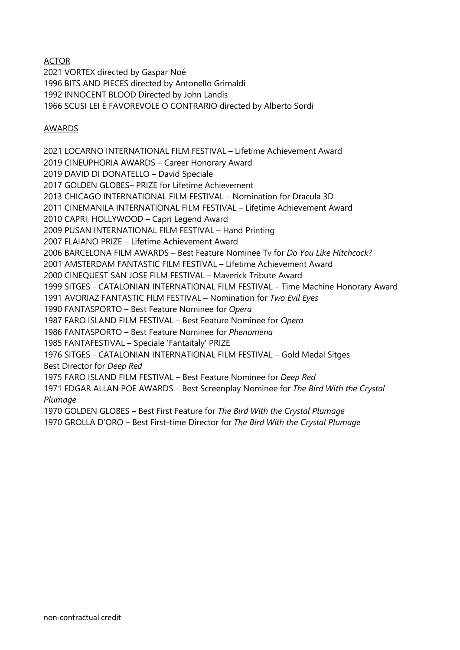### ACTOR

2021 VORTEX directed by Gaspar Noé 1996 BITS AND PIECES directed by Antonello Grimaldi 1992 INNOCENT BLOOD Directed by John Landis 1966 SCUSI LEI È FAVOREVOLE O CONTRARIO directed by Alberto Sordi

### AWARDS

2021 LOCARNO INTERNATIONAL FILM FESTIVAL – Lifetime Achievement Award 2019 CINEUPHORIA AWARDS – Career Honorary Award 2019 DAVID DI DONATELLO – David Speciale 2017 GOLDEN GLOBES– PRIZE for Lifetime Achievement 2013 CHICAGO INTERNATIONAL FILM FESTIVAL – Nomination for Dracula 3D 2011 CINEMANILA INTERNATIONAL FILM FESTIVAL – Lifetime Achievement Award 2010 CAPRI, HOLLYWOOD – Capri Legend Award 2009 PUSAN INTERNATIONAL FILM FESTIVAL – Hand Printing 2007 FLAIANO PRIZE – Lifetime Achievement Award 2006 BARCELONA FILM AWARDS – Best Feature Nominee Tv for *Do You Like Hitchcock*? 2001 AMSTERDAM FANTASTIC FILM FESTIVAL – Lifetime Achievement Award 2000 CINEQUEST SAN JOSE FILM FESTIVAL – Maverick Tribute Award 1999 SITGES - CATALONIAN INTERNATIONAL FILM FESTIVAL – Time Machine Honorary Award 1991 AVORIAZ FANTASTIC FILM FESTIVAL – Nomination for *Two Evil Eyes* 1990 FANTASPORTO – Best Feature Nominee for *Opera* 1987 FARO ISLAND FILM FESTIVAL – Best Feature Nominee for *Opera* 1986 FANTASPORTO – Best Feature Nominee for *Phenomena* 1985 FANTAFESTIVAL – Speciale 'Fantaitaly' PRIZE 1976 SITGES - CATALONIAN INTERNATIONAL FILM FESTIVAL – Gold Medal Sitges Best Director for *Deep Red* 1975 FARO ISLAND FILM FESTIVAL – Best Feature Nominee for *Deep Red* 1971 EDGAR ALLAN POE AWARDS – Best Screenplay Nominee for *The Bird With the Crystal Plumage* 1970 GOLDEN GLOBES – Best First Feature for *The Bird With the Crystal Plumage*

1970 GROLLA D'ORO – Best First-time Director for *The Bird With the Crystal Plumage*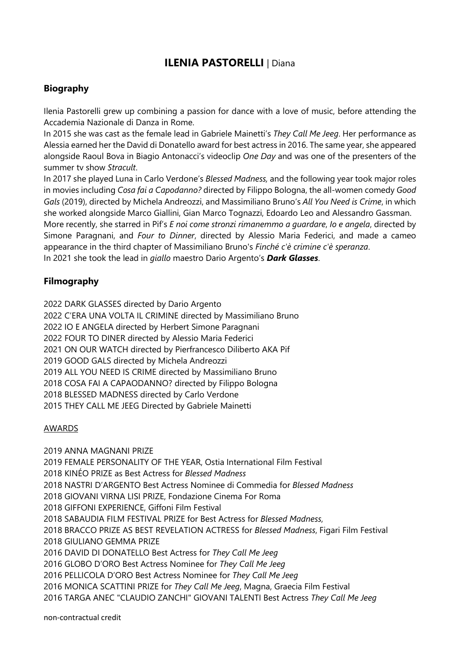# **ILENIA PASTORELLI** | Diana

## **Biography**

Ilenia Pastorelli grew up combining a passion for dance with a love of music, before attending the Accademia Nazionale di Danza in Rome.

In 2015 she was cast as the female lead in Gabriele Mainetti's *They Call Me Jeeg*. Her performance as Alessia earned her the David di Donatello award for best actress in 2016. The same year, she appeared alongside Raoul Bova in Biagio Antonacci's videoclip *One Day* and was one of the presenters of the summer tv show *Stracult*.

In 2017 she played Luna in Carlo Verdone's *Blessed Madness,* and the following year took major roles in movies including *Cosa fai a Capodanno?* directed by Filippo Bologna, the all-women comedy *Good Gals* (2019), directed by Michela Andreozzi, and Massimiliano Bruno's *All You Need is Crime*, in which she worked alongside Marco Giallini, Gian Marco Tognazzi, Edoardo Leo and Alessandro Gassman. More recently, she starred in Pif's *E noi come stronzi rimanemmo a guardare*, *Io e angela*, directed by Simone Paragnani, and *Four to Dinner*, directed by Alessio Maria Federici, and made a cameo appearance in the third chapter of Massimiliano Bruno's *Finché c'è crimine c'è speranza*.

In 2021 she took the lead in *giallo* maestro Dario Argento's *Dark Glasses*.

## **Filmography**

 DARK GLASSES directed by Dario Argento 2022 C'ERA UNA VOLTA IL CRIMINE directed by Massimiliano Bruno 2022 IO E ANGELA directed by Herbert Simone Paragnani FOUR TO DINER directed by Alessio Maria Federici ON OUR WATCH directed by Pierfrancesco Diliberto AKA Pif GOOD GALS directed by Michela Andreozzi ALL YOU NEED IS CRIME directed by Massimiliano Bruno COSA FAI A CAPAODANNO? directed by Filippo Bologna BLESSED MADNESS directed by Carlo Verdone THEY CALL ME JEEG Directed by Gabriele Mainetti

### AWARDS

2019 ANNA MAGNANI PRIZE 2019 FEMALE PERSONALITY OF THE YEAR, Ostia International Film Festival 2018 KINÉO PRIZE as Best Actress for *Blessed Madness* 2018 NASTRI D'ARGENTO Best Actress Nominee di Commedia for *Blessed Madness* 2018 GIOVANI VIRNA LISI PRIZE, Fondazione Cinema For Roma 2018 GIFFONI EXPERIENCE, Giffoni Film Festival 2018 SABAUDIA FILM FESTIVAL PRIZE for Best Actress for *Blessed Madness*, 2018 BRACCO PRIZE AS BEST REVELATION ACTRESS for *Blessed Madness*, Figari Film Festival 2018 GIULIANO GEMMA PRIZE 2016 DAVID DI DONATELLO Best Actress for *They Call Me Jeeg* 2016 GLOBO D'ORO Best Actress Nominee for *They Call Me Jeeg* 2016 PELLICOLA D'ORO Best Actress Nominee for *They Call Me Jeeg* 2016 MONICA SCATTINI PRIZE for *They Call Me Jeeg*, Magna, Graecia Film Festival 2016 TARGA ANEC "CLAUDIO ZANCHI" GIOVANI TALENTI Best Actress *They Call Me Jeeg*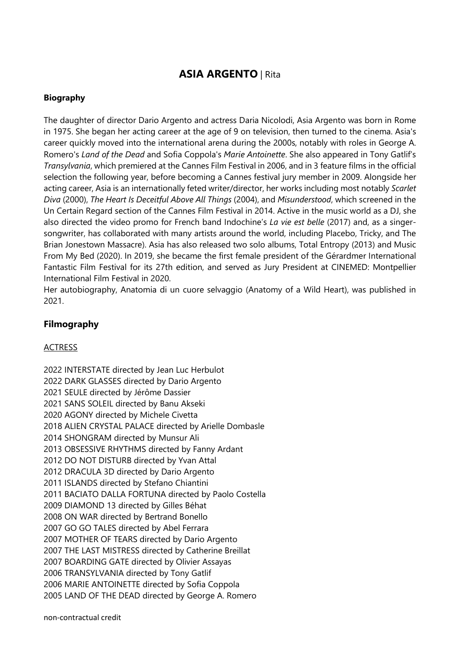# **ASIA ARGENTO** | Rita

### **Biography**

The daughter of director Dario Argento and actress Daria Nicolodi, Asia Argento was born in Rome in 1975. She began her acting career at the age of 9 on television, then turned to the cinema. Asia's career quickly moved into the international arena during the 2000s, notably with roles in George A. Romero's *Land of the Dead* and Sofia Coppola's *Marie Antoinette*. She also appeared in Tony Gatlif's *Transylvania*, which premiered at the Cannes Film Festival in 2006, and in 3 feature films in the official selection the following year, before becoming a Cannes festival jury member in 2009. Alongside her acting career, Asia is an internationally feted writer/director, her works including most notably *Scarlet Diva* (2000), *The Heart Is Deceitful Above All Things* (2004), and *Misunderstood*, which screened in the Un Certain Regard section of the Cannes Film Festival in 2014. Active in the music world as a DJ, she also directed the video promo for French band Indochine's *La vie est belle* (2017) and, as a singersongwriter, has collaborated with many artists around the world, including Placebo, Tricky, and The Brian Jonestown Massacre). Asia has also released two solo albums, Total Entropy (2013) and Music From My Bed (2020). In 2019, she became the first female president of the Gérardmer International Fantastic Film Festival for its 27th edition, and served as Jury President at CINEMED: Montpellier International Film Festival in 2020.

Her autobiography, Anatomia di un cuore selvaggio (Anatomy of a Wild Heart), was published in 2021.

### **Filmography**

#### **ACTRESS**

2022 INTERSTATE directed by Jean Luc Herbulot 2022 DARK GLASSES directed by Dario Argento 2021 SEULE directed by Jérôme Dassier 2021 SANS SOLEIL directed by Banu Akseki 2020 AGONY directed by Michele Civetta 2018 ALIEN CRYSTAL PALACE directed by Arielle Dombasle 2014 SHONGRAM directed by Munsur Ali 2013 OBSESSIVE RHYTHMS directed by Fanny Ardant 2012 DO NOT DISTURB directed by Yvan Attal 2012 DRACULA 3D directed by Dario Argento 2011 ISLANDS directed by Stefano Chiantini 2011 BACIATO DALLA FORTUNA directed by Paolo Costella 2009 DIAMOND 13 directed by Gilles Béhat 2008 ON WAR directed by Bertrand Bonello 2007 GO GO TALES directed by Abel Ferrara 2007 MOTHER OF TEARS directed by Dario Argento 2007 THE LAST MISTRESS directed by Catherine Breillat 2007 BOARDING GATE directed by Olivier Assayas 2006 TRANSYLVANIA directed by Tony Gatlif 2006 MARIE ANTOINETTE directed by Sofia Coppola 2005 LAND OF THE DEAD directed by George A. Romero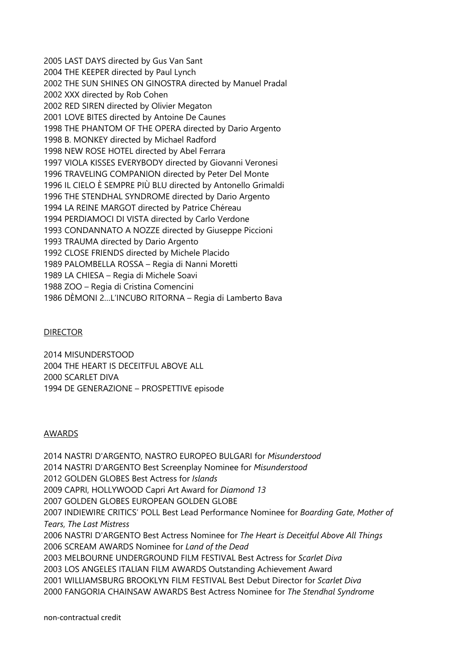2005 LAST DAYS directed by Gus Van Sant 2004 THE KEEPER directed by Paul Lynch 2002 THE SUN SHINES ON GINOSTRA directed by Manuel Pradal 2002 XXX directed by Rob Cohen 2002 RED SIREN directed by Olivier Megaton 2001 LOVE BITES directed by Antoine De Caunes 1998 THE PHANTOM OF THE OPERA directed by Dario Argento 1998 B. MONKEY directed by Michael Radford 1998 NEW ROSE HOTEL directed by Abel Ferrara 1997 VIOLA KISSES EVERYBODY directed by Giovanni Veronesi 1996 TRAVELING COMPANION directed by Peter Del Monte 1996 IL CIELO È SEMPRE PIÙ BLU directed by Antonello Grimaldi 1996 THE STENDHAL SYNDROME directed by Dario Argento 1994 LA REINE MARGOT directed by Patrice Chéreau 1994 PERDIAMOCI DI VISTA directed by Carlo Verdone 1993 CONDANNATO A NOZZE directed by Giuseppe Piccioni 1993 TRAUMA directed by Dario Argento 1992 CLOSE FRIENDS directed by Michele Placido 1989 PALOMBELLA ROSSA – Regia di Nanni Moretti 1989 LA CHIESA – Regia di Michele Soavi 1988 ZOO – Regia di Cristina Comencini 1986 DÈMONI 2…L'INCUBO RITORNA – Regia di Lamberto Bava

#### DIRECTOR

2014 MISUNDERSTOOD 2004 THE HEART IS DECEITFUL ABOVE ALL 2000 SCARLET DIVA 1994 DE GENERAZIONE – PROSPETTIVE episode

#### AWARDS

2014 NASTRI D'ARGENTO, NASTRO EUROPEO BULGARI for *Misunderstood* 2014 NASTRI D'ARGENTO Best Screenplay Nominee for *Misunderstood* 2012 GOLDEN GLOBES Best Actress for *Islands* 2009 CAPRI, HOLLYWOOD Capri Art Award for *Diamond 13* 2007 GOLDEN GLOBES EUROPEAN GOLDEN GLOBE 2007 INDIEWIRE CRITICS' POLL Best Lead Performance Nominee for *Boarding Gate*, *Mother of Tears*, *The Last Mistress* 2006 NASTRI D'ARGENTO Best Actress Nominee for *The Heart is Deceitful Above All Things* 2006 SCREAM AWARDS Nominee for *Land of the Dead* 2003 MELBOURNE UNDERGROUND FILM FESTIVAL Best Actress for *Scarlet Diva* 2003 LOS ANGELES ITALIAN FILM AWARDS Outstanding Achievement Award 2001 WILLIAMSBURG BROOKLYN FILM FESTIVAL Best Debut Director for *Scarlet Diva* 2000 FANGORIA CHAINSAW AWARDS Best Actress Nominee for *The Stendhal Syndrome*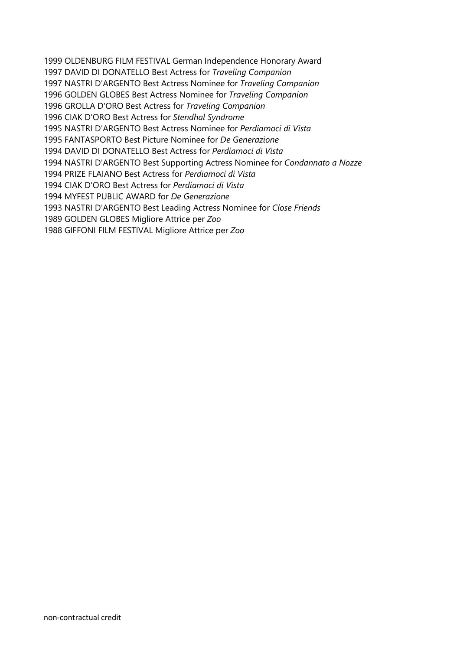1999 OLDENBURG FILM FESTIVAL German Independence Honorary Award 1997 DAVID DI DONATELLO Best Actress for *Traveling Companion* 1997 NASTRI D'ARGENTO Best Actress Nominee for *Traveling Companion* 1996 GOLDEN GLOBES Best Actress Nominee for *Traveling Companion* 1996 GROLLA D'ORO Best Actress for *Traveling Companion* 1996 CIAK D'ORO Best Actress for *Stendhal Syndrome* 1995 NASTRI D'ARGENTO Best Actress Nominee for *Perdiamoci di Vista* 1995 FANTASPORTO Best Picture Nominee for *De Generazione* 1994 DAVID DI DONATELLO Best Actress for *Perdiamoci di Vista* 1994 NASTRI D'ARGENTO Best Supporting Actress Nominee for *Condannato a Nozze* 1994 PRIZE FLAIANO Best Actress for *Perdiamoci di Vista* 1994 CIAK D'ORO Best Actress for *Perdiamoci di Vista* 1994 MYFEST PUBLIC AWARD for *De Generazione* 1993 NASTRI D'ARGENTO Best Leading Actress Nominee for *Close Friends* 1989 GOLDEN GLOBES Migliore Attrice per *Zoo* 1988 GIFFONI FILM FESTIVAL Migliore Attrice per *Zoo*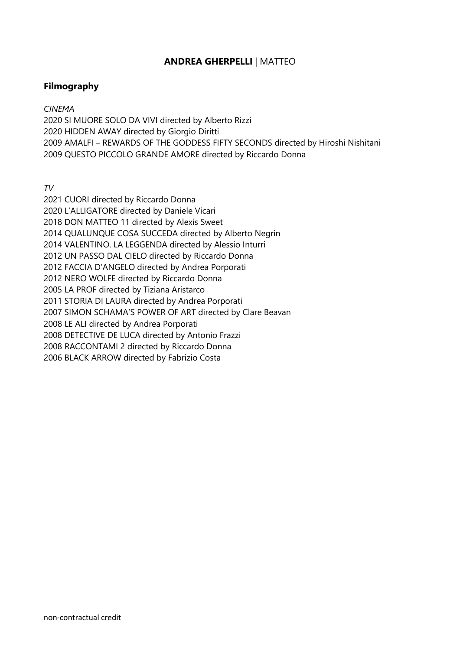### **ANDREA GHERPELLI** | MATTEO

### **Filmography**

*CINEMA*

2020 SI MUORE SOLO DA VIVI directed by Alberto Rizzi 2020 HIDDEN AWAY directed by Giorgio Diritti 2009 AMALFI – REWARDS OF THE GODDESS FIFTY SECONDS directed by Hiroshi Nishitani 2009 QUESTO PICCOLO GRANDE AMORE directed by Riccardo Donna

*TV*

2021 CUORI directed by Riccardo Donna 2020 L'ALLIGATORE directed by Daniele Vicari 2018 DON MATTEO 11 directed by Alexis Sweet 2014 QUALUNQUE COSA SUCCEDA directed by Alberto Negrin 2014 VALENTINO. LA LEGGENDA directed by Alessio Inturri 2012 UN PASSO DAL CIELO directed by Riccardo Donna 2012 FACCIA D'ANGELO directed by Andrea Porporati 2012 NERO WOLFE directed by Riccardo Donna 2005 LA PROF directed by Tiziana Aristarco 2011 STORIA DI LAURA directed by Andrea Porporati 2007 SIMON SCHAMA'S POWER OF ART directed by Clare Beavan 2008 LE ALI directed by Andrea Porporati 2008 DETECTIVE DE LUCA directed by Antonio Frazzi 2008 RACCONTAMI 2 directed by Riccardo Donna 2006 BLACK ARROW directed by Fabrizio Costa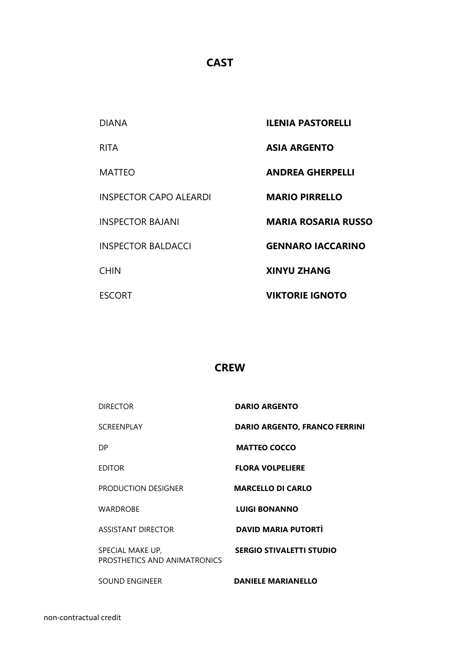## **CAST**

| <b>DIANA</b>                  | <b>ILENIA PASTORELLI</b>   |
|-------------------------------|----------------------------|
| <b>RITA</b>                   | <b>ASIA ARGENTO</b>        |
| MATTEO                        | <b>ANDREA GHERPELLI</b>    |
| <b>INSPECTOR CAPO ALEARDI</b> | <b>MARIO PIRRELLO</b>      |
| <b>INSPECTOR BAJANI</b>       | <b>MARIA ROSARIA RUSSO</b> |
| <b>INSPECTOR BALDACCI</b>     | <b>GENNARO IACCARINO</b>   |
| <b>CHIN</b>                   | <b>XINYU ZHANG</b>         |
| <b>ESCORT</b>                 | <b>VIKTORIE IGNOTO</b>     |

## **CREW**

| <b>DIRECTOR</b>                                  | <b>DARIO ARGENTO</b>                 |
|--------------------------------------------------|--------------------------------------|
| <b>SCREENPLAY</b>                                | <b>DARIO ARGENTO, FRANCO FERRINI</b> |
| DP                                               | <b>MATTEO COCCO</b>                  |
| <b>EDITOR</b>                                    | <b>FLORA VOLPELIERE</b>              |
| PRODUCTION DESIGNER                              | <b>MARCELLO DI CARLO</b>             |
| <b>WARDROBE</b>                                  | <b>LUIGI BONANNO</b>                 |
| <b>ASSISTANT DIRECTOR</b>                        | <b>DAVID MARIA PUTORTI</b>           |
| SPECIAL MAKE UP,<br>PROSTHETICS AND ANIMATRONICS | <b>SERGIO STIVALETTI STUDIO</b>      |
| <b>SOUND ENGINEER</b>                            | <b>DANIELE MARIANELLO</b>            |